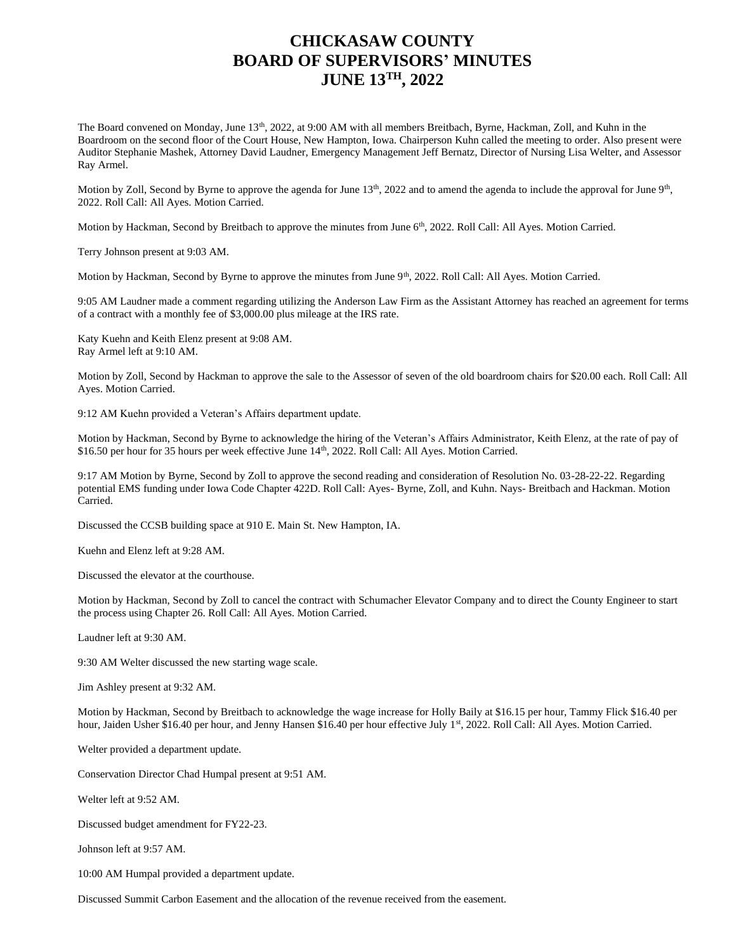## **CHICKASAW COUNTY BOARD OF SUPERVISORS' MINUTES JUNE 13TH, 2022**

The Board convened on Monday, June 13<sup>th</sup>, 2022, at 9:00 AM with all members Breitbach, Byrne, Hackman, Zoll, and Kuhn in the Boardroom on the second floor of the Court House, New Hampton, Iowa. Chairperson Kuhn called the meeting to order. Also present were Auditor Stephanie Mashek, Attorney David Laudner, Emergency Management Jeff Bernatz, Director of Nursing Lisa Welter, and Assessor Ray Armel.

Motion by Zoll, Second by Byrne to approve the agenda for June  $13<sup>th</sup>$ , 2022 and to amend the agenda to include the approval for June  $9<sup>th</sup>$ , 2022. Roll Call: All Ayes. Motion Carried.

Motion by Hackman, Second by Breitbach to approve the minutes from June 6<sup>th</sup>, 2022. Roll Call: All Ayes. Motion Carried.

Terry Johnson present at 9:03 AM.

Motion by Hackman, Second by Byrne to approve the minutes from June 9<sup>th</sup>, 2022. Roll Call: All Ayes. Motion Carried.

9:05 AM Laudner made a comment regarding utilizing the Anderson Law Firm as the Assistant Attorney has reached an agreement for terms of a contract with a monthly fee of \$3,000.00 plus mileage at the IRS rate.

Katy Kuehn and Keith Elenz present at 9:08 AM. Ray Armel left at 9:10 AM.

Motion by Zoll, Second by Hackman to approve the sale to the Assessor of seven of the old boardroom chairs for \$20.00 each. Roll Call: All Ayes. Motion Carried.

9:12 AM Kuehn provided a Veteran's Affairs department update.

Motion by Hackman, Second by Byrne to acknowledge the hiring of the Veteran's Affairs Administrator, Keith Elenz, at the rate of pay of \$16.50 per hour for 35 hours per week effective June 14<sup>th</sup>, 2022. Roll Call: All Ayes. Motion Carried.

9:17 AM Motion by Byrne, Second by Zoll to approve the second reading and consideration of Resolution No. 03-28-22-22. Regarding potential EMS funding under Iowa Code Chapter 422D. Roll Call: Ayes- Byrne, Zoll, and Kuhn. Nays- Breitbach and Hackman. Motion Carried.

Discussed the CCSB building space at 910 E. Main St. New Hampton, IA.

Kuehn and Elenz left at 9:28 AM.

Discussed the elevator at the courthouse.

Motion by Hackman, Second by Zoll to cancel the contract with Schumacher Elevator Company and to direct the County Engineer to start the process using Chapter 26. Roll Call: All Ayes. Motion Carried.

Laudner left at 9:30 AM.

9:30 AM Welter discussed the new starting wage scale.

Jim Ashley present at 9:32 AM.

Motion by Hackman, Second by Breitbach to acknowledge the wage increase for Holly Baily at \$16.15 per hour, Tammy Flick \$16.40 per hour, Jaiden Usher \$16.40 per hour, and Jenny Hansen \$16.40 per hour effective July 1st, 2022. Roll Call: All Ayes. Motion Carried.

Welter provided a department update.

Conservation Director Chad Humpal present at 9:51 AM.

Welter left at 9:52 AM.

Discussed budget amendment for FY22-23.

Johnson left at 9:57 AM.

10:00 AM Humpal provided a department update.

Discussed Summit Carbon Easement and the allocation of the revenue received from the easement.